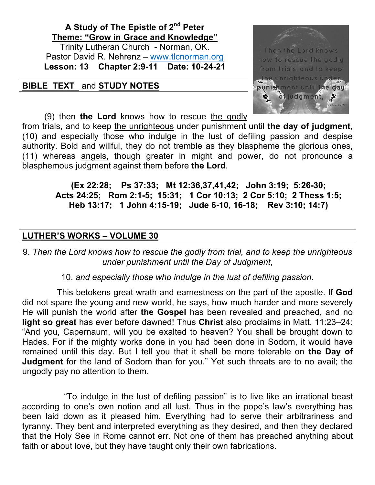# **A Study of The Epistle of 2nd Peter Theme: "Grow in Grace and Knowledge"**

Trinity Lutheran Church - Norman, OK. Pastor David R. Nehrenz – www.tlcnorman.org **Lesson: 13 Chapter 2:9-11 Date: 10-24-21**

### **BIBLE TEXT** and **STUDY NOTES**



(9) then **the Lord** knows how to rescue the godly

from trials, and to keep the unrighteous under punishment until **the day of judgment,** (10) and especially those who indulge in the lust of defiling passion and despise authority. Bold and willful, they do not tremble as they blaspheme the glorious ones, (11) whereas angels, though greater in might and power, do not pronounce a blasphemous judgment against them before **the Lord**.

### **(Ex 22:28; Ps 37:33; Mt 12:36,37,41,42; John 3:19; 5:26-30; Acts 24:25; Rom 2:1-5; 15:31; 1 Cor 10:13; 2 Cor 5:10; 2 Thess 1:5; Heb 13:17; 1 John 4:15-19; Jude 6-10, 16-18; Rev 3:10; 14:7)**

# **LUTHER'S WORKS – VOLUME 30**

9. *Then the Lord knows how to rescue the godly from trial, and to keep the unrighteous under punishment until the Day of Judgment*,

10. *and especially those who indulge in the lust of defiling passion*.

 This betokens great wrath and earnestness on the part of the apostle. If **God** did not spare the young and new world, he says, how much harder and more severely He will punish the world after **the Gospel** has been revealed and preached, and no **light so great** has ever before dawned! Thus **Christ** also proclaims in Matt. 11:23–24: "And you, Capernaum, will you be exalted to heaven? You shall be brought down to Hades. For if the mighty works done in you had been done in Sodom, it would have remained until this day. But I tell you that it shall be more tolerable on **the Day of Judgment** for the land of Sodom than for you." Yet such threats are to no avail; the ungodly pay no attention to them.

 "To indulge in the lust of defiling passion" is to live like an irrational beast according to one's own notion and all lust. Thus in the pope's law's everything has been laid down as it pleased him. Everything had to serve their arbitrariness and tyranny. They bent and interpreted everything as they desired, and then they declared that the Holy See in Rome cannot err. Not one of them has preached anything about faith or about love, but they have taught only their own fabrications.